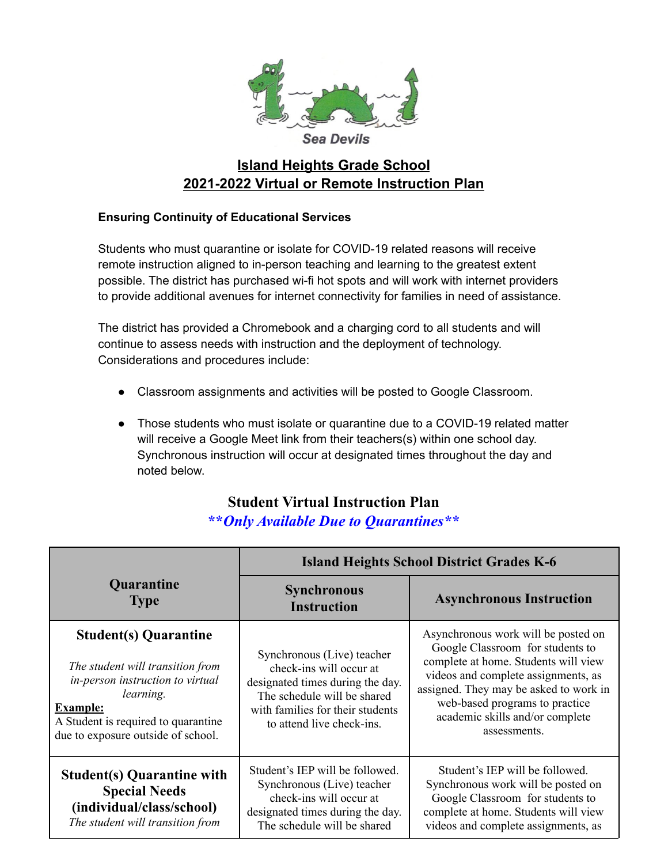

## **Island Heights Grade School 2021-2022 Virtual or Remote Instruction Plan**

## **Ensuring Continuity of Educational Services**

Students who must quarantine or isolate for COVID-19 related reasons will receive remote instruction aligned to in-person teaching and learning to the greatest extent possible. The district has purchased wi-fi hot spots and will work with internet providers to provide additional avenues for internet connectivity for families in need of assistance.

The district has provided a Chromebook and a charging cord to all students and will continue to assess needs with instruction and the deployment of technology. Considerations and procedures include:

- Classroom assignments and activities will be posted to Google Classroom.
- Those students who must isolate or quarantine due to a COVID-19 related matter will receive a Google Meet link from their teachers(s) within one school day. Synchronous instruction will occur at designated times throughout the day and noted below.

## **Student Virtual Instruction Plan \*\****Only Available Due to Quarantines\*\**

|                                                                                                                                                                                                                   | <b>Island Heights School District Grades K-6</b>                                                                                                                                          |                                                                                                                                                                                                                                                                                       |
|-------------------------------------------------------------------------------------------------------------------------------------------------------------------------------------------------------------------|-------------------------------------------------------------------------------------------------------------------------------------------------------------------------------------------|---------------------------------------------------------------------------------------------------------------------------------------------------------------------------------------------------------------------------------------------------------------------------------------|
| <b>Quarantine</b><br><b>Type</b>                                                                                                                                                                                  | <b>Synchronous</b><br><b>Instruction</b>                                                                                                                                                  | <b>Asynchronous Instruction</b>                                                                                                                                                                                                                                                       |
| <b>Student(s) Quarantine</b><br>The student will transition from<br>in-person instruction to virtual<br>learning.<br><b>Example:</b><br>A Student is required to quarantine<br>due to exposure outside of school. | Synchronous (Live) teacher<br>check-ins will occur at<br>designated times during the day.<br>The schedule will be shared<br>with families for their students<br>to attend live check-ins. | Asynchronous work will be posted on<br>Google Classroom for students to<br>complete at home. Students will view<br>videos and complete assignments, as<br>assigned. They may be asked to work in<br>web-based programs to practice<br>academic skills and/or complete<br>assessments. |
| <b>Student(s) Quarantine with</b><br><b>Special Needs</b><br>(individual/class/school)<br>The student will transition from                                                                                        | Student's IEP will be followed.<br>Synchronous (Live) teacher<br>check-ins will occur at<br>designated times during the day.<br>The schedule will be shared                               | Student's IEP will be followed.<br>Synchronous work will be posted on<br>Google Classroom for students to<br>complete at home. Students will view<br>videos and complete assignments, as                                                                                              |